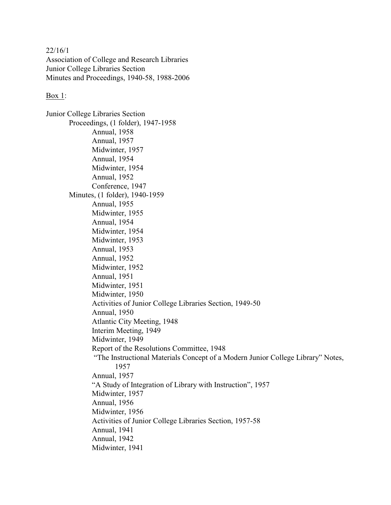22/16/1 Association of College and Research Libraries Junior College Libraries Section Minutes and Proceedings, 1940-58, 1988-2006

## Box 1:

Junior College Libraries Section Proceedings, (1 folder), 1947-1958 Annual, 1958 Annual, 1957 Midwinter, 1957 Annual, 1954 Midwinter, 1954 Annual, 1952 Conference, 1947 Minutes, (1 folder), 1940-1959 Annual, 1955 Midwinter, 1955 Annual, 1954 Midwinter, 1954 Midwinter, 1953 Annual, 1953 Annual, 1952 Midwinter, 1952 Annual, 1951 Midwinter, 1951 Midwinter, 1950 Activities of Junior College Libraries Section, 1949-50 Annual, 1950 Atlantic City Meeting, 1948 Interim Meeting, 1949 Midwinter, 1949 Report of the Resolutions Committee, 1948 "The Instructional Materials Concept of a Modern Junior College Library" Notes, 1957 Annual, 1957 "A Study of Integration of Library with Instruction", 1957 Midwinter, 1957 Annual, 1956 Midwinter, 1956 Activities of Junior College Libraries Section, 1957-58 Annual, 1941 Annual, 1942 Midwinter, 1941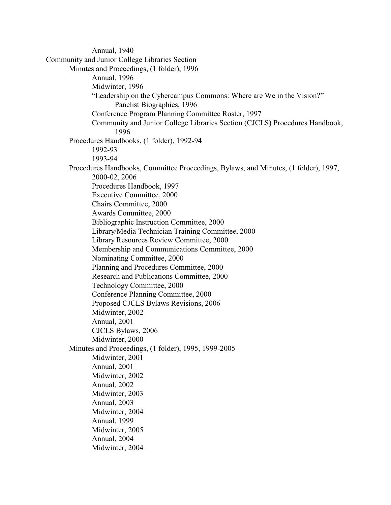Annual, 1940 Community and Junior College Libraries Section Minutes and Proceedings, (1 folder), 1996 Annual, 1996 Midwinter, 1996 "Leadership on the Cybercampus Commons: Where are We in the Vision?" Panelist Biographies, 1996 Conference Program Planning Committee Roster, 1997 Community and Junior College Libraries Section (CJCLS) Procedures Handbook, 1996 Procedures Handbooks, (1 folder), 1992-94 1992-93 1993-94 Procedures Handbooks, Committee Proceedings, Bylaws, and Minutes, (1 folder), 1997, 2000-02, 2006 Procedures Handbook, 1997 Executive Committee, 2000 Chairs Committee, 2000 Awards Committee, 2000 Bibliographic Instruction Committee, 2000 Library/Media Technician Training Committee, 2000 Library Resources Review Committee, 2000 Membership and Communications Committee, 2000 Nominating Committee, 2000 Planning and Procedures Committee, 2000 Research and Publications Committee, 2000 Technology Committee, 2000 Conference Planning Committee, 2000 Proposed CJCLS Bylaws Revisions, 2006 Midwinter, 2002 Annual, 2001 CJCLS Bylaws, 2006 Midwinter, 2000 Minutes and Proceedings, (1 folder), 1995, 1999-2005 Midwinter, 2001 Annual, 2001 Midwinter, 2002 Annual, 2002 Midwinter, 2003 Annual, 2003 Midwinter, 2004 Annual, 1999 Midwinter, 2005 Annual, 2004 Midwinter, 2004